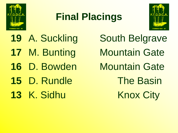

## **Final Placings**



**16 D. Bowden Mountain Gate** 

- 
- 

19 A. Suckling South Belgrave **17 M. Bunting Mountain Gate 15** D. Rundle The Basin 13 K. Sidhu Knox City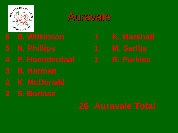

## Auravale

- 
- 
- 
- 
- 
-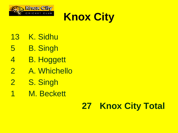



- K. Sidhu
- B. Singh
- B. Hoggett
- A. Whichello
- 2 S. Singh
- M. Beckett

#### **Knox City Total**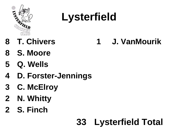

# **Lysterfield**

- 
- **T. Chivers 1 J. VanMourik**
- **S. Moore**
- **Q. Wells**
- **D. Forster-Jennings**
- **C. McElroy**
- **N. Whitty**
- **S. Finch**

## **Lysterfield Total**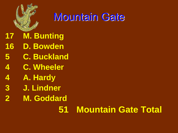

## Mountain Gate

#### **M. Bunting**

- **D. Bowden**
- **C. Buckland**
- **C. Wheeler**
- **A. Hardy**
- **J. Lindner**
- **M. Goddard**

## **Mountain Gate Total**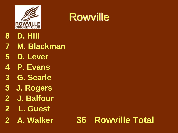

## **Rowville**

- **D. Hill**
- **M. Blackman**
- **D. Lever**
- **P. Evans**
- **G. Searle**
- **3 J. Rogers**
- **J. Balfour**
- **2 L. Guest**
- 

### **A. Walker 36 Rowville Total**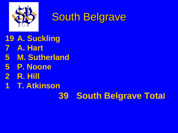

## South Belgrave

**A. Suckling** 

- **A. Hart**
- **M. Sutherland**
- **P. Noone**
- **R. Hill**
- **T. Atkinson**

#### **South Belgrave Total**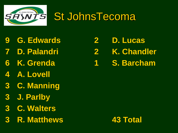

## St JohnsTecoma

- **G. Edwards 2 D. Lucas**
- 
- 
- **A. Lovell**
- **C. Manning**
- **J. Parlby**
- **C. Walters**
- **R. Matthews 43 Total**

 **D. Palandri 2 K. Chandler K. Grenda 1 S. Barcham**